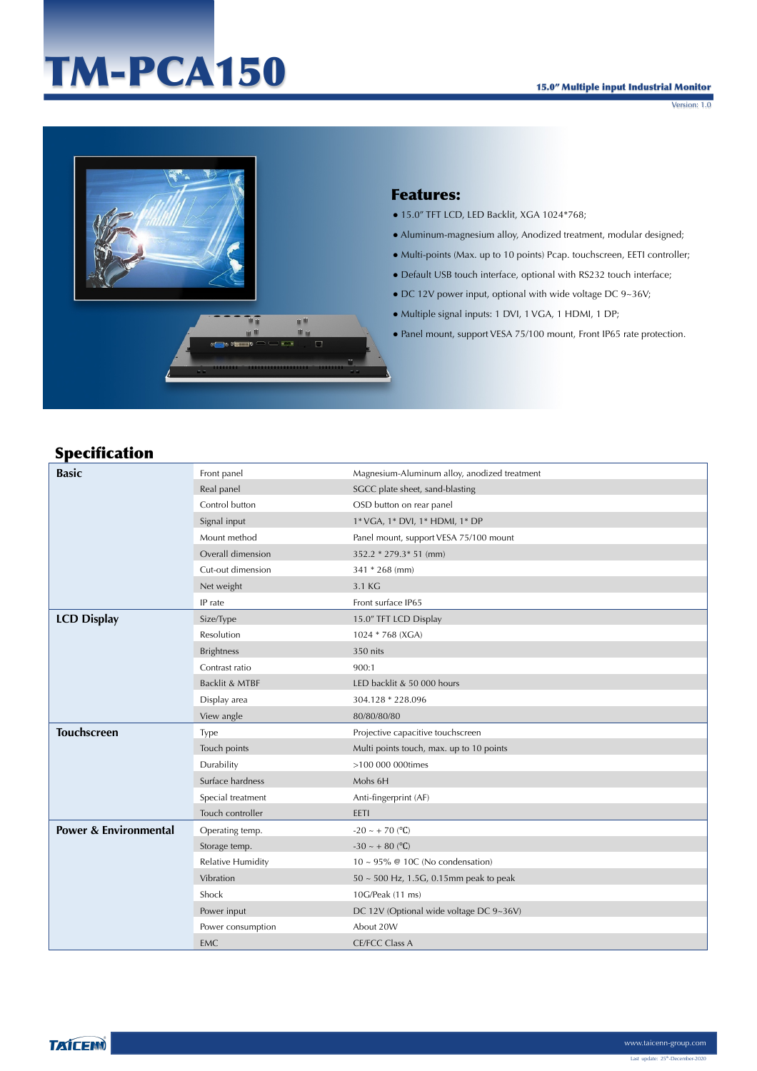# TM-PCA150

Version: 1.0



#### Features:

- 15.0" TFT LCD, LED Backlit, XGA 1024\*768;
- Aluminum-magnesium alloy, Anodized treatment, modular designed;
- Multi-points (Max. up to 10 points) Pcap. touchscreen, EETI controller;
- Default USB touch interface, optional with RS232 touch interface;
- DC 12V power input, optional with wide voltage DC 9~36V;
- Multiple signal inputs: 1 DVI, 1 VGA, 1 HDMI, 1 DP;
- Panel mount, support VESA 75/100 mount, Front IP65 rate protection.

### Specification

| <b>Basic</b>                     | Front panel              | Magnesium-Aluminum alloy, anodized treatment |
|----------------------------------|--------------------------|----------------------------------------------|
|                                  | Real panel               | SGCC plate sheet, sand-blasting              |
|                                  | Control button           | OSD button on rear panel                     |
|                                  | Signal input             | 1* VGA, 1* DVI, 1* HDMI, 1* DP               |
|                                  | Mount method             | Panel mount, support VESA 75/100 mount       |
|                                  | Overall dimension        | 352.2 * 279.3 * 51 (mm)                      |
|                                  | Cut-out dimension        | 341 * 268 (mm)                               |
|                                  | Net weight               | 3.1 KG                                       |
|                                  | IP rate                  | Front surface IP65                           |
| <b>LCD Display</b>               | Size/Type                | 15.0" TFT LCD Display                        |
|                                  | Resolution               | 1024 * 768 (XGA)                             |
|                                  | <b>Brightness</b>        | 350 nits                                     |
|                                  | Contrast ratio           | 900:1                                        |
|                                  | Backlit & MTBF           | LED backlit & 50 000 hours                   |
|                                  | Display area             | 304.128 * 228.096                            |
|                                  | View angle               | 80/80/80/80                                  |
| <b>Touchscreen</b>               | Type                     | Projective capacitive touchscreen            |
|                                  | Touch points             | Multi points touch, max. up to 10 points     |
|                                  | Durability               | >100 000 000times                            |
|                                  | Surface hardness         | Mohs 6H                                      |
|                                  | Special treatment        | Anti-fingerprint (AF)                        |
|                                  | Touch controller         | EETI                                         |
| <b>Power &amp; Environmental</b> | Operating temp.          | $-20 \sim +70$ (°C)                          |
|                                  | Storage temp.            | $-30 \sim +80$ (°C)                          |
|                                  | <b>Relative Humidity</b> | $10 \sim 95\%$ @ 10C (No condensation)       |
|                                  | Vibration                | $50 \sim 500$ Hz, 1.5G, 0.15mm peak to peak  |
|                                  | Shock                    | 10G/Peak (11 ms)                             |
|                                  | Power input              | DC 12V (Optional wide voltage DC 9~36V)      |
|                                  | Power consumption        | About 20W                                    |
|                                  | <b>EMC</b>               | <b>CE/FCC Class A</b>                        |